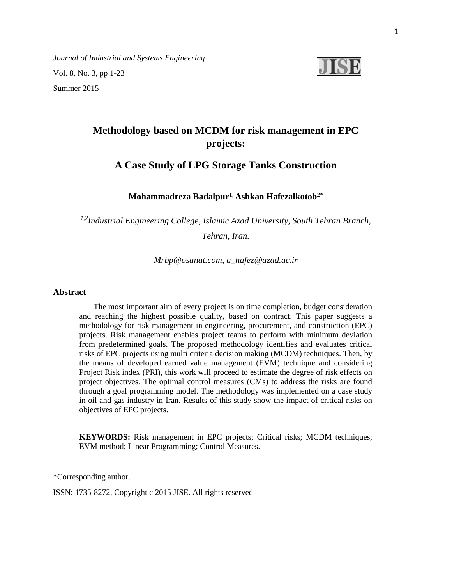*Journal of Industrial and Systems Engineering* Vol. 8, No. 3, pp 1-23 Summer 2015



# **Methodology based on MCDM for risk management in EPC projects:**

## **A Case Study of LPG Storage Tanks Construction**

## **Mohammadreza Badalpur1, Ashkan Hafezalkotob2\***

*1,2Industrial Engineering College, Islamic Azad University, South Tehran Branch,* 

*Tehran, Iran.*

## *[Mrbp@osanat.com,](mailto:Mrbp@osanat.com) [a\\_hafez@azad.ac.ir](mailto:a_hafez@azad.ac.ir)*

## **Abstract**

 The most important aim of every project is on time completion, budget consideration and reaching the highest possible quality, based on contract. This paper suggests a methodology for risk management in engineering, procurement, and construction (EPC) projects. Risk management enables project teams to perform with minimum deviation from predetermined goals. The proposed methodology identifies and evaluates critical risks of EPC projects using multi criteria decision making (MCDM) techniques. Then, by the means of developed earned value management (EVM) technique and considering Project Risk index (PRI), this work will proceed to estimate the degree of risk effects on project objectives. The optimal control measures (CMs) to address the risks are found through a goal programming model. The methodology was implemented on a case study in oil and gas industry in Iran. Results of this study show the impact of critical risks on objectives of EPC projects.

**KEYWORDS:** Risk management in EPC projects; Critical risks; MCDM techniques; EVM method; Linear Programming; Control Measures.

\*Corresponding author.

ISSN: 1735-8272, Copyright c 2015 JISE. All rights reserved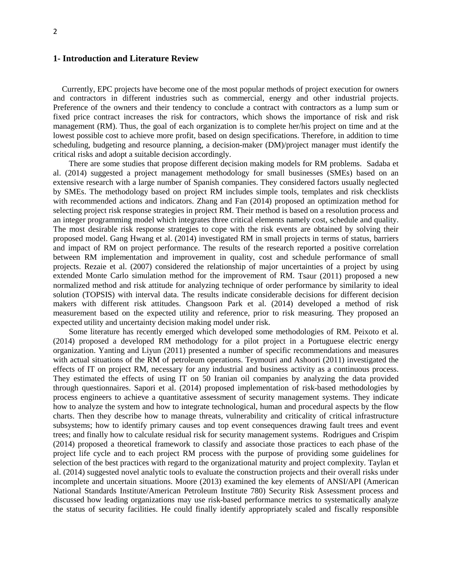## **1- Introduction and Literature Review**

 Currently, EPC projects have become one of the most popular methods of project execution for owners and contractors in different industries such as commercial, energy and other industrial projects. Preference of the owners and their tendency to conclude a contract with contractors as a lump sum or fixed price contract increases the risk for contractors, which shows the importance of risk and risk management (RM). Thus, the goal of each organization is to complete her/his project on time and at the lowest possible cost to achieve more profit, based on design specifications. Therefore, in addition to time scheduling, budgeting and resource planning, a decision-maker (DM)/project manager must identify the critical risks and adopt a suitable decision accordingly.

There are some studies that propose different decision making models for RM problems. Sadaba et al. (2014) suggested a project management methodology for small businesses (SMEs) based on an extensive research with a large number of Spanish companies. They considered factors usually neglected by SMEs. The methodology based on project RM includes simple tools, templates and risk checklists with recommended actions and indicators. Zhang and Fan (2014) proposed an optimization method for selecting project risk response strategies in project RM. Their method is based on a resolution process and an integer programming model which integrates three critical elements namely cost, schedule and quality. The most desirable risk response strategies to cope with the risk events are obtained by solving their proposed model. Gang Hwang et al. (2014) investigated RM in small projects in terms of status, barriers and impact of RM on project performance. The results of the research reported a positive correlation between RM implementation and improvement in quality, cost and schedule performance of small projects. Rezaie et al. (2007) considered the relationship of major uncertainties of a project by using extended Monte Carlo simulation method for the improvement of RM. Tsaur (2011) proposed a new normalized method and risk attitude for analyzing technique of order performance by similarity to ideal solution (TOPSIS) with interval data. The results indicate considerable decisions for different decision makers with different risk attitudes. Changsoon Park et al. (2014) developed a method of risk measurement based on the expected utility and reference, prior to risk measuring. They proposed an expected utility and uncertainty decision making model under risk.

Some literature has recently emerged which developed some methodologies of RM. Peixoto et al. (2014) proposed a developed RM methodology for a pilot project in a Portuguese electric energy organization. Yanting and Liyun (2011) presented a number of specific recommendations and measures with actual situations of the RM of petroleum operations. Teymouri and Ashoori (2011) investigated the effects of IT on project RM, necessary for any industrial and business activity as a continuous process. They estimated the effects of using IT on 50 Iranian oil companies by analyzing the data provided through questionnaires. Sapori et al. (2014) proposed implementation of risk-based methodologies by process engineers to achieve a quantitative assessment of security management systems. They indicate how to analyze the system and how to integrate technological, human and procedural aspects by the flow charts. Then they describe how to manage threats, vulnerability and criticality of critical infrastructure subsystems; how to identify primary causes and top event consequences drawing fault trees and event trees; and finally how to calculate residual risk for security management systems. Rodrigues and Crispim (2014) proposed a theoretical framework to classify and associate those practices to each phase of the project life cycle and to each project RM process with the purpose of providing some guidelines for selection of the best practices with regard to the organizational maturity and project complexity. Taylan et al. (2014) suggested novel analytic tools to evaluate the construction projects and their overall risks under incomplete and uncertain situations. Moore (2013) examined the key elements of ANSI/API (American National Standards Institute/American Petroleum Institute 780) Security Risk Assessment process and discussed how leading organizations may use risk-based performance metrics to systematically analyze the status of security facilities. He could finally identify appropriately scaled and fiscally responsible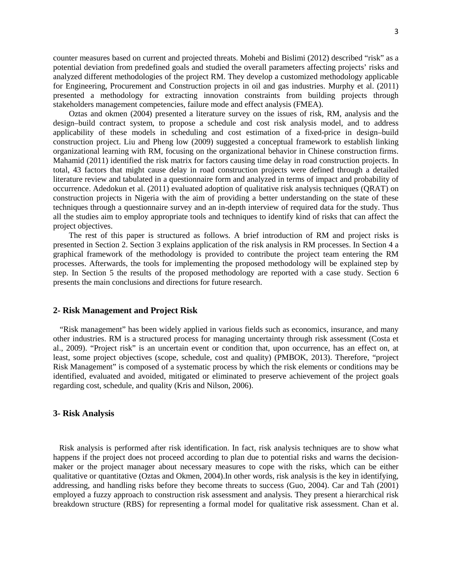counter measures based on current and projected threats. Mohebi and Bislimi (2012) described "risk" as a potential deviation from predefined goals and studied the overall parameters affecting projects' risks and analyzed different methodologies of the project RM. They develop a customized methodology applicable for Engineering, Procurement and Construction projects in oil and gas industries. Murphy et al. (2011) presented a methodology for extracting innovation constraints from building projects through stakeholders management competencies, failure mode and effect analysis (FMEA).

Oztas and okmen (2004) presented a literature survey on the issues of risk, RM, analysis and the design–build contract system, to propose a schedule and cost risk analysis model, and to address applicability of these models in scheduling and cost estimation of a fixed-price in design–build construction project. Liu and Pheng low (2009) suggested a conceptual framework to establish linking organizational learning with RM, focusing on the organizational behavior in Chinese construction firms. Mahamid (2011) identified the risk matrix for factors causing time delay in road construction projects. In total, 43 factors that might cause delay in road construction projects were defined through a detailed literature review and tabulated in a questionnaire form and analyzed in terms of impact and probability of occurrence. Adedokun et al. (2011) evaluated adoption of qualitative risk analysis techniques (QRAT) on construction projects in Nigeria with the aim of providing a better understanding on the state of these techniques through a questionnaire survey and an in-depth interview of required data for the study. Thus all the studies aim to employ appropriate tools and techniques to identify kind of risks that can affect the project objectives.

The rest of this paper is structured as follows. A brief introduction of RM and project risks is presented in Section 2. Section 3 explains application of the risk analysis in RM processes. In Section 4 a graphical framework of the methodology is provided to contribute the project team entering the RM processes. Afterwards, the tools for implementing the proposed methodology will be explained step by step. In Section 5 the results of the proposed methodology are reported with a case study. Section 6 presents the main conclusions and directions for future research.

## **2- Risk Management and Project Risk**

 "Risk management" has been widely applied in various fields such as economics, insurance, and many other industries. RM is a structured process for managing uncertainty through risk assessment (Costa et al., 2009). "Project risk" is an uncertain event or condition that, upon occurrence, has an effect on, at least, some project objectives (scope, schedule, cost and quality) (PMBOK, 2013). Therefore, "project Risk Management" is composed of a systematic process by which the risk elements or conditions may be identified, evaluated and avoided, mitigated or eliminated to preserve achievement of the project goals regarding cost, schedule, and quality (Kris and Nilson, 2006).

## **3- Risk Analysis**

 Risk analysis is performed after risk identification. In fact, risk analysis techniques are to show what happens if the project does not proceed according to plan due to potential risks and warns the decisionmaker or the project manager about necessary measures to cope with the risks, which can be either qualitative or quantitative (Oztas and Okmen, 2004).In other words, risk analysis is the key in identifying, addressing, and handling risks before they become threats to success (Guo, 2004). Car and Tah (2001) employed a fuzzy approach to construction risk assessment and analysis. They present a hierarchical risk breakdown structure (RBS) for representing a formal model for qualitative risk assessment. Chan et al.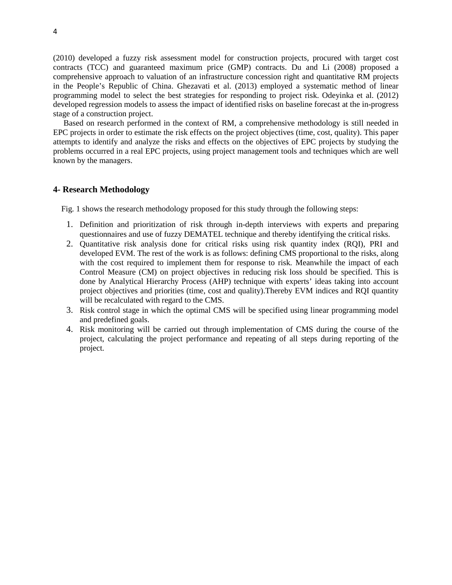(2010) developed a fuzzy risk assessment model for construction projects, procured with target cost contracts (TCC) and guaranteed maximum price (GMP) contracts. Du and Li (2008) proposed a comprehensive approach to valuation of an infrastructure concession right and quantitative RM projects in the People's Republic of China. Ghezavati et al. (2013) employed a systematic method of linear programming model to select the best strategies for responding to project risk. Odeyinka et al. (2012) developed regression models to assess the impact of identified risks on baseline forecast at the in-progress stage of a construction project.

Based on research performed in the context of RM, a comprehensive methodology is still needed in EPC projects in order to estimate the risk effects on the project objectives (time, cost, quality). This paper attempts to identify and analyze the risks and effects on the objectives of EPC projects by studying the problems occurred in a real EPC projects, using project management tools and techniques which are well known by the managers.

#### **4- Research Methodology**

Fig. 1 shows the research methodology proposed for this study through the following steps:

- 1. Definition and prioritization of risk through in-depth interviews with experts and preparing questionnaires and use of fuzzy DEMATEL technique and thereby identifying the critical risks.
- 2. Quantitative risk analysis done for critical risks using risk quantity index (RQI), PRI and developed EVM. The rest of the work is as follows: defining CMS proportional to the risks, along with the cost required to implement them for response to risk. Meanwhile the impact of each Control Measure (CM) on project objectives in reducing risk loss should be specified. This is done by Analytical Hierarchy Process (AHP) technique with experts' ideas taking into account project objectives and priorities (time, cost and quality).Thereby EVM indices and RQI quantity will be recalculated with regard to the CMS.
- 3. Risk control stage in which the optimal CMS will be specified using linear programming model and predefined goals.
- 4. Risk monitoring will be carried out through implementation of CMS during the course of the project, calculating the project performance and repeating of all steps during reporting of the project.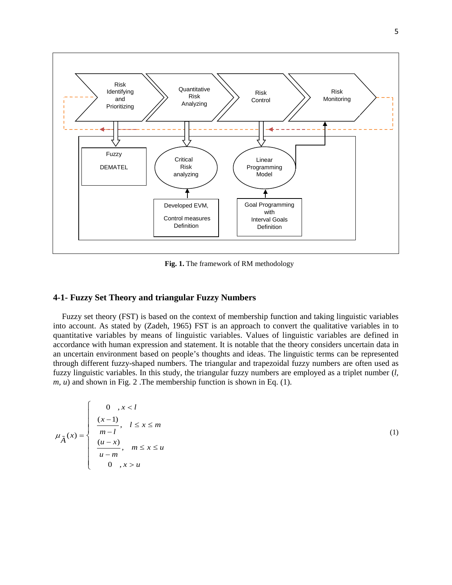

**Fig. 1.** The framework of RM methodology

## **4-1- Fuzzy Set Theory and triangular Fuzzy Numbers**

 Fuzzy set theory (FST) is based on the context of membership function and taking linguistic variables into account. As stated by (Zadeh, 1965) FST is an approach to convert the qualitative variables in to quantitative variables by means of linguistic variables. Values of linguistic variables are defined in accordance with human expression and statement. It is notable that the theory considers uncertain data in an uncertain environment based on people's thoughts and ideas. The linguistic terms can be represented through different fuzzy-shaped numbers. The triangular and trapezoidal fuzzy numbers are often used as fuzzy linguistic variables. In this study, the triangular fuzzy numbers are employed as a triplet number (*l, m, u*) and shown in Fig. 2 .The membership function is shown in Eq. (1).

$$
\mu_{\tilde{A}}(x) = \begin{cases}\n0 & x < l \\
\frac{(x-1)}{m-l}, & l \le x \le m \\
\frac{(u-x)}{u-m}, & m \le x \le u \\
0 & x > u\n\end{cases}
$$

(1)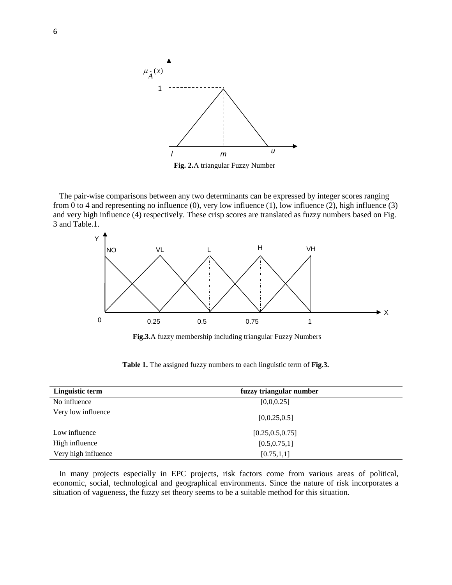

 The pair-wise comparisons between any two determinants can be expressed by integer scores ranging from 0 to 4 and representing no influence  $(0)$ , very low influence  $(1)$ , low influence  $(2)$ , high influence  $(3)$ and very high influence (4) respectively. These crisp scores are translated as fuzzy numbers based on Fig. 3 and Table.1.



**Fig.3**.A fuzzy membership including triangular Fuzzy Numbers

| Linguistic term     | fuzzy triangular number |  |
|---------------------|-------------------------|--|
| No influence        | [0,0,0.25]              |  |
| Very low influence  | [0, 0.25, 0.5]          |  |
| Low influence       | [0.25, 0.5, 0.75]       |  |
| High influence      | [0.5, 0.75, 1]          |  |
| Very high influence | [0.75, 1, 1]            |  |

**Table 1.** The assigned fuzzy numbers to each linguistic term of **Fig.3.**

 In many projects especially in EPC projects, risk factors come from various areas of political, economic, social, technological and geographical environments. Since the nature of risk incorporates a situation of vagueness, the fuzzy set theory seems to be a suitable method for this situation.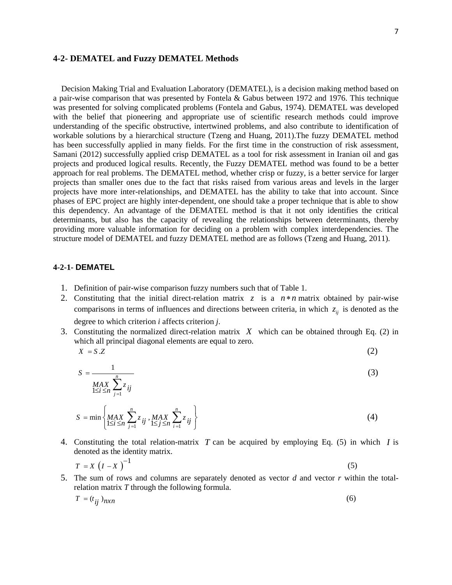## **4-2- DEMATEL and Fuzzy DEMATEL Methods**

 Decision Making Trial and Evaluation Laboratory (DEMATEL), is a decision making method based on a pair-wise comparison that was presented by Fontela & Gabus between 1972 and 1976. This technique was presented for solving complicated problems (Fontela and Gabus, 1974). DEMATEL was developed with the belief that pioneering and appropriate use of scientific research methods could improve understanding of the specific obstructive, intertwined problems, and also contribute to identification of workable solutions by a hierarchical structure (Tzeng and Huang, 2011).The fuzzy DEMATEL method has been successfully applied in many fields. For the first time in the construction of risk assessment, Samani (2012) successfully applied crisp DEMATEL as a tool for risk assessment in Iranian oil and gas projects and produced logical results. Recently, the Fuzzy DEMATEL method was found to be a better approach for real problems. The DEMATEL method, whether crisp or fuzzy, is a better service for larger projects than smaller ones due to the fact that risks raised from various areas and levels in the larger projects have more inter-relationships, and DEMATEL has the ability to take that into account. Since phases of EPC project are highly inter-dependent, one should take a proper technique that is able to show this dependency. An advantage of the DEMATEL method is that it not only identifies the critical determinants, but also has the capacity of revealing the relationships between determinants, thereby providing more valuable information for deciding on a problem with complex interdependencies. The structure model of DEMATEL and fuzzy DEMATEL method are as follows (Tzeng and Huang, 2011).

## **4-2-1- DEMATEL**

- 1. Definition of pair-wise comparison fuzzy numbers such that of Table 1.
- 2. Constituting that the initial direct-relation matrix  $z$  is a  $n * n$  matrix obtained by pair-wise comparisons in terms of influences and directions between criteria, in which  $z_{ij}$  is denoted as the degree to which criterion *i* affects criterion *j*.
- 3. Constituting the normalized direct-relation matrix  $X$  which can be obtained through Eq. (2) in which all principal diagonal elements are equal to zero.

$$
X = S.Z \tag{2}
$$

$$
S = \frac{1}{\frac{MAX}{1 \le i \le n} \sum_{j=1}^{n} z_{ij}}
$$
(3)

$$
S = \min \left\{ \max_{1 \le i \le n} \sum_{j=1}^{n} z_{ij}, \max_{1 \le j \le n} \sum_{i=1}^{n} z_{ij} \right\}
$$
(4)

4. Constituting the total relation-matrix  $T$  can be acquired by employing Eq. (5) in which  $I$  is denoted as the identity matrix.

$$
T = X \left( I - X \right)^{-1} \tag{5}
$$

5. The sum of rows and columns are separately denoted as vector *d* and vector *r* within the totalrelation matrix *T* through the following formula.

$$
T = (t_{ij})_{n \times n} \tag{6}
$$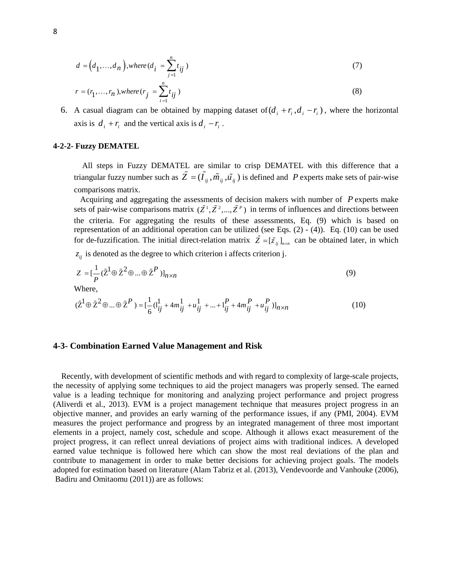$$
d = (d_1, \dots, d_n), where (d_i = \sum_{j=1}^n t_{ij})
$$
\n
$$
(7)
$$

$$
r = (r_1, ..., r_n), where (r_j = \sum_{i=1}^n t_{ij})
$$
\n(8)

6. A casual diagram can be obtained by mapping dataset of  $(d_i + r_i, d_i - r_i)$ , where the horizontal axis is  $d_i + r_i$  and the vertical axis is  $d_i - r_i$ .

#### **4-2-2- Fuzzy DEMATEL**

 All steps in Fuzzy DEMATEL are similar to crisp DEMATEL with this difference that a triangular fuzzy number such as  $\tilde{Z} = (\tilde{I}_{ij}, \tilde{m}_{ij}, \tilde{u}_{ij})$  is defined and P experts make sets of pair-wise comparisons matrix.

Acquiring and aggregating the assessments of decision makers with number of  $P$  experts make sets of pair-wise comparisons matrix  $(\tilde{Z}^1, \tilde{Z}^2, ..., \tilde{Z}^P)$  in terms of influences and directions between the criteria. For aggregating the results of these assessments, Eq. (9) which is based on representation of an additional operation can be utilized (see Eqs. (2) - (4)). Eq. (10) can be used for de-fuzzification. The initial direct-relation matrix  $\tilde{Z} = [\tilde{z}_{ij}]_{n \times n}$  can be obtained later, in which

 $z_{ij}$  is denoted as the degree to which criterion i affects criterion j.

$$
Z = \left[\frac{1}{P} (\tilde{\mathbf{Z}}^1 \oplus \tilde{\mathbf{Z}}^2 \oplus \dots \oplus \tilde{\mathbf{Z}}^P)\right]_{n \times n} \tag{9}
$$

Where,

$$
(\tilde{\mathbf{Z}}^1 \oplus \tilde{\mathbf{Z}}^2 \oplus \dots \oplus \tilde{\mathbf{Z}}^P) = [\frac{1}{6} (\mathbf{l}_{ij}^1 + 4m_{ij}^1 + u_{ij}^1 + \dots + \mathbf{l}_{ij}^P + 4m_{ij}^P + u_{ij}^P)]_{n \times n}
$$
(10)

## **4-3- Combination Earned Value Management and Risk**

 Recently, with development of scientific methods and with regard to complexity of large-scale projects, the necessity of applying some techniques to aid the project managers was properly sensed. The earned value is a leading technique for monitoring and analyzing project performance and project progress (Aliverdi et al., 2013). EVM is a project management technique that measures project progress in an objective manner, and provides an early warning of the performance issues, if any (PMI, 2004). EVM measures the project performance and progress by an integrated management of three most important elements in a project, namely cost, schedule and scope. Although it allows exact measurement of the project progress, it can reflect unreal deviations of project aims with traditional indices. A developed earned value technique is followed here which can show the most real deviations of the plan and contribute to management in order to make better decisions for achieving project goals. The models adopted for estimation based on literature (Alam Tabriz et al. (2013), Vendevoorde and Vanhouke (2006), Badiru and Omitaomu (2011)) are as follows: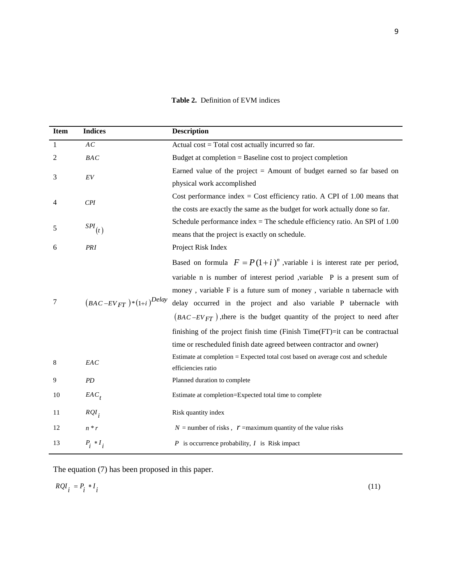**Table 2.** Definition of EVM indices

| <b>Item</b>  | <b>Indices</b>                | <b>Description</b>                                                              |
|--------------|-------------------------------|---------------------------------------------------------------------------------|
| $\mathbf{1}$ | AC                            | Actual cost = Total cost actually incurred so far.                              |
| 2            | <b>BAC</b>                    | Budget at completion $=$ Baseline cost to project completion                    |
| 3            | $\cal{E}V$                    | Earned value of the project $=$ Amount of budget earned so far based on         |
|              |                               | physical work accomplished                                                      |
| 4            | CPI                           | Cost performance index = Cost efficiency ratio. A CPI of $1.00$ means that      |
|              |                               | the costs are exactly the same as the budget for work actually done so far.     |
| 5            | $\mathit{SPI}_\left(t\right)$ | Schedule performance index = The schedule efficiency ratio. An SPI of $1.00$    |
|              |                               | means that the project is exactly on schedule.                                  |
| 6            | PRI                           | Project Risk Index                                                              |
|              |                               | Based on formula $F = P(1 + i)^n$ , variable i is interest rate per period,     |
|              |                               | variable n is number of interest period , variable P is a present sum of        |
|              |                               | money, variable F is a future sum of money, variable n tabernacle with          |
| 7            | $(BAC-EV_{FT})*(1+i)^{Delay}$ | delay occurred in the project and also variable P tabernacle with               |
|              |                               | $(BAC-EV_{FT})$ , there is the budget quantity of the project to need after     |
|              |                               | finishing of the project finish time (Finish Time(FT)=it can be contractual     |
|              |                               | time or rescheduled finish date agreed between contractor and owner)            |
| 8            | EAC                           | Estimate at completion = Expected total cost based on average cost and schedule |
|              |                               | efficiencies ratio                                                              |
| 9            | PD                            | Planned duration to complete                                                    |
| 10           | $EAC_t$                       | Estimate at completion=Expected total time to complete                          |
| 11           | $RQI_i$                       | Risk quantity index                                                             |
| 12           | $n * r$                       | $N =$ number of risks, $r =$ maximum quantity of the value risks                |
| 13           | $P_i * I_i$                   | $P$ is occurrence probability, $I$ is Risk impact                               |

(11)

The equation (7) has been proposed in this paper.

$$
RQI_i = P_i * I_i
$$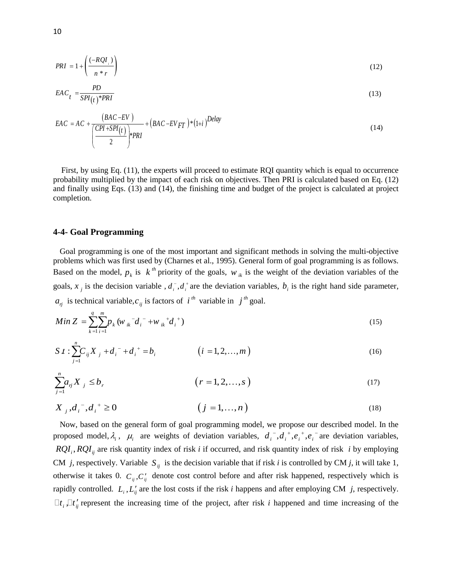$$
PRI = 1 + \left(\frac{(-RQI_i)}{n * r}\right) \tag{12}
$$

$$
EAC_t = \frac{PD}{SPI(t)^*PRI} \tag{13}
$$

$$
EAC = AC + \frac{(BAC - EV)}{\left(\frac{CPI + SPI(t)}{2}\right) * PRI} + (BAC - EV_{FT}) * (1+i)^{Delay}
$$
\n(14)

 First, by using Eq. (11), the experts will proceed to estimate RQI quantity which is equal to occurrence probability multiplied by the impact of each risk on objectives. Then PRI is calculated based on Eq. (12) and finally using Eqs. (13) and (14), the finishing time and budget of the project is calculated at project completion.

### **4-4- Goal Programming**

 Goal programming is one of the most important and significant methods in solving the multi-objective problems which was first used by (Charnes et al., 1995). General form of goal programming is as follows. Based on the model,  $p_k$  is  $k^{th}$  priority of the goals,  $w_{ik}$  is the weight of the deviation variables of the goals,  $x_j$  is the decision variable,  $d_i$ ,  $d_i$  are the deviation variables,  $b_i$  is the right hand side parameter,  $a_{ij}$  is technical variable,  $c_{ij}$  is factors of  $i^{th}$  variable in  $j^{th}$  goal.

$$
Min Z = \sum_{k=1}^{q} \sum_{i=1}^{m} p_k (w_{ik}^{\dagger} d_i^{\dagger} + w_{ik}^{\dagger} d_i^{\dagger})
$$
\n(15)

$$
S \ t : \sum_{j=1}^{n} C_{ij} X_{j} + d_{i}^{-} + d_{i}^{+} = b_{i} \qquad (i = 1, 2, ..., m)
$$
 (16)

$$
\sum_{j=1}^{n} a_{rj} X_j \le b_r \qquad (r = 1, 2, ..., s)
$$
 (17)

$$
X_{j}, d_{i}^{-}, d_{i}^{+} \ge 0 \qquad (j = 1,...,n)
$$
\n(18)

 Now, based on the general form of goal programming model, we propose our described model. In the proposed model,  $\lambda_i$ ,  $\mu_i$  are weights of deviation variables,  $d_i^-, d_i^+, e_i^+, e_i^-$  are deviation variables,  $RQI_i$ ,  $RQI_{ij}$  are risk quantity index of risk *i* if occurred, and risk quantity index of risk *i* by employing CM *j*, respectively. Variable  $S_{ij}$  is the decision variable that if risk *i* is controlled by CM *j*, it will take 1, otherwise it takes 0.  $C_{ij}$ ,  $C'_{ij}$  denote cost control before and after risk happened, respectively which is rapidly controlled.  $L_i$ ,  $L'_{ij}$  are the lost costs if the risk *i* happens and after employing CM *j*, respectively.  $\Box t_i$ ,  $\Box t'_i$  represent the increasing time of the project, after risk *i* happened and time increasing of the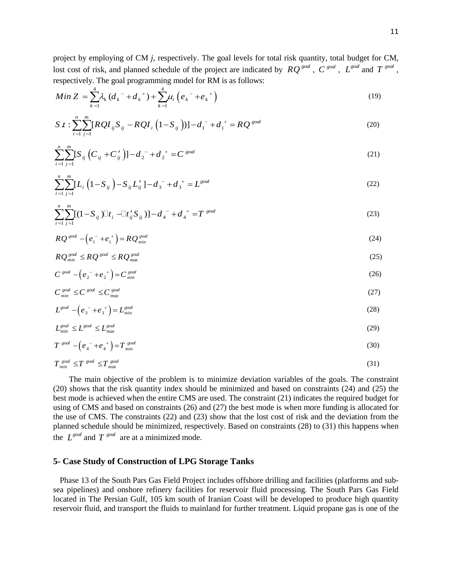project by employing of CM *j*, respectively. The goal levels for total risk quantity, total budget for CM, lost cost of risk, and planned schedule of the project are indicated by  $RQ^{goal}$ ,  $C^{goal}$ ,  $L^{goal}$  and  $T^{goal}$ , respectively. The goal programming model for RM is as follows:

$$
Min Z = \sum_{k=1}^{4} \lambda_k (d_k^{\texttt{-}} + d_k^{\texttt{+}}) + \sum_{k=1}^{4} \mu_k (e_k^{\texttt{-}} + e_k^{\texttt{+}})
$$
\n(19)

$$
S t : \sum_{i=1}^{n} \sum_{j=1}^{m} [RQ I_{ij} S_{ij} - RQ I_{i} (1 - S_{ij})] - d_{1}^{-} + d_{1}^{+} = RQ^{goal}
$$
\n(20)

$$
\sum_{i=1}^{n} \sum_{j=1}^{m} [S_{ij} (C_{ij} + C'_{ij})] - d_2^- + d_2^+ = C^{goal}
$$
\n(21)

$$
\sum_{i=1}^{n} \sum_{j=1}^{m} [L_i \left( 1 - S_{ij} \right) - S_{ij} L'_{ij} ] - d_3^- + d_3^+ = L^{goal}
$$
\n(22)

$$
\sum_{i=1}^{n} \sum_{j=1}^{m} [(1 - S_{ij}) \Box t_i - \Box t'_{ij} S_{ij})] - d_4^- + d_4^+ = T^{goal}
$$
\n(23)

$$
RQ^{\text{goal}} - \left(e_1^- + e_1^+\right) = RQ_{\text{min}}^{\text{goal}}\tag{24}
$$

$$
RQ_{min}^{goal} \leq RQ_{max}^{goal} \leq RQ_{max}^{goal} \tag{25}
$$

$$
C^{goal} - \left(e_2 - e_2\right) = C^{goal}_{min} \tag{26}
$$

$$
C_{\min}^{\text{goal}} \le C_{\max}^{\text{goal}} \le C_{\max}^{\text{goal}} \tag{27}
$$

$$
L^{goal} - \left(e_3^- + e_3^+\right) = L_{min}^{goal} \tag{28}
$$

$$
L_{min}^{goal} \le L_{max}^{goal} \le L_{max}^{goal} \tag{29}
$$

$$
T^{goal} - \left(e_4^- + e_4^+\right) = T^{goal}_{min} \tag{30}
$$

$$
T_{min}^{goal} \le T_{max}^{goal} \le T_{max}^{goal} \tag{31}
$$

The main objective of the problem is to minimize deviation variables of the goals. The constraint (20) shows that the risk quantity index should be minimized and based on constraints (24) and (25) the best mode is achieved when the entire CMS are used. The constraint (21) indicates the required budget for using of CMS and based on constraints (26) and (27) the best mode is when more funding is allocated for the use of CMS. The constraints (22) and (23) show that the lost cost of risk and the deviation from the planned schedule should be minimized, respectively. Based on constraints (28) to (31) this happens when the  $L^{goal}$  and  $T^{goal}$  are at a minimized mode.

### **5- Case Study of Construction of LPG Storage Tanks**

 Phase 13 of the South Pars Gas Field Project includes offshore drilling and facilities (platforms and subsea pipelines) and onshore refinery facilities for reservoir fluid processing. The South Pars Gas Field located in The Persian Gulf, 105 km south of Iranian Coast will be developed to produce high quantity reservoir fluid, and transport the fluids to mainland for further treatment. Liquid propane gas is one of the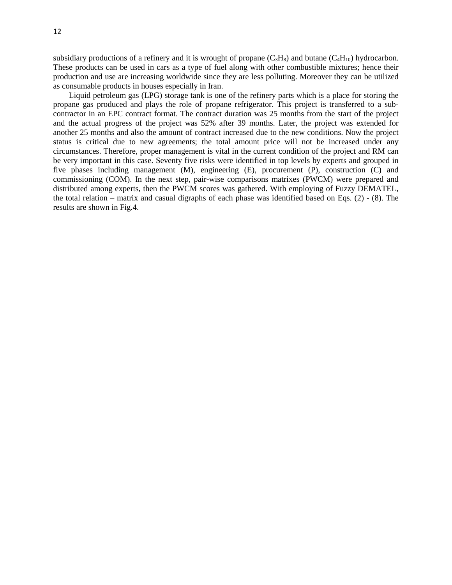subsidiary productions of a refinery and it is wrought of propane  $(C_3H_8)$  and butane  $(C_4H_{10})$  hydrocarbon. These products can be used in cars as a type of fuel along with other combustible mixtures; hence their production and use are increasing worldwide since they are less polluting. Moreover they can be utilized as consumable products in houses especially in Iran.

Liquid petroleum gas (LPG) storage tank is one of the refinery parts which is a place for storing the propane gas produced and plays the role of propane refrigerator. This project is transferred to a subcontractor in an EPC contract format. The contract duration was 25 months from the start of the project and the actual progress of the project was 52% after 39 months. Later, the project was extended for another 25 months and also the amount of contract increased due to the new conditions. Now the project status is critical due to new agreements; the total amount price will not be increased under any circumstances. Therefore, proper management is vital in the current condition of the project and RM can be very important in this case. Seventy five risks were identified in top levels by experts and grouped in five phases including management (M), engineering (E), procurement (P), construction (C) and commissioning (COM). In the next step, pair-wise comparisons matrixes (PWCM) were prepared and distributed among experts, then the PWCM scores was gathered. With employing of Fuzzy DEMATEL, the total relation – matrix and casual digraphs of each phase was identified based on Eqs. (2) - (8). The results are shown in Fig.4.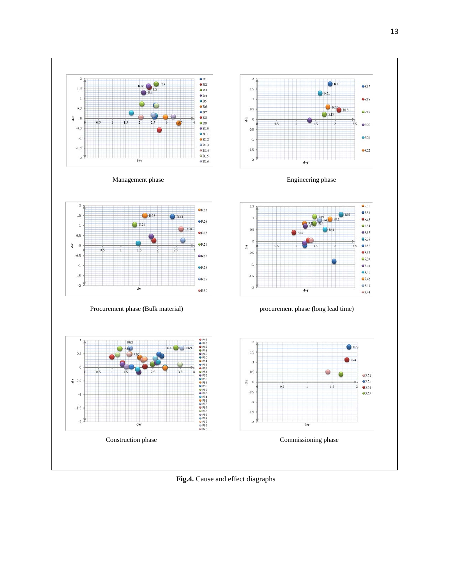

**Fig.4.** Cause and effect diagraphs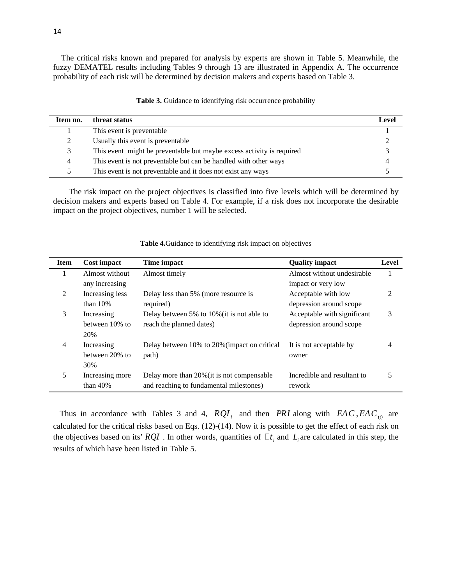The critical risks known and prepared for analysis by experts are shown in Table 5. Meanwhile, the fuzzy DEMATEL results including Tables 9 through 13 are illustrated in Appendix A. The occurrence probability of each risk will be determined by decision makers and experts based on Table 3.

| Item no. | threat status                                                         | Level |
|----------|-----------------------------------------------------------------------|-------|
|          | This event is preventable                                             |       |
|          | Usually this event is preventable                                     |       |
| 3        | This event might be preventable but maybe excess activity is required |       |
| 4        | This event is not preventable but can be handled with other ways      |       |
|          | This event is not preventable and it does not exist any ways          |       |

**Table 3.** Guidance to identifying risk occurrence probability

The risk impact on the project objectives is classified into five levels which will be determined by decision makers and experts based on Table 4. For example, if a risk does not incorporate the desirable impact on the project objectives, number 1 will be selected.

| <b>Item</b>    | Cost impact     | Time impact                                  | <b>Quality impact</b>       | Level |
|----------------|-----------------|----------------------------------------------|-----------------------------|-------|
| 1              | Almost without  | Almost timely                                | Almost without undesirable  |       |
|                | any increasing  |                                              | impact or very low          |       |
| 2              | Increasing less | Delay less than 5% (more resource is         | Acceptable with low         | 2     |
|                | than $10%$      | required)                                    | depression around scope     |       |
| 3              | Increasing      | Delay between 5% to 10% (it is not able to   | Acceptable with significant | 3     |
|                | between 10% to  | reach the planned dates)                     | depression around scope     |       |
|                | 20%             |                                              |                             |       |
| $\overline{4}$ | Increasing      | Delay between 10% to 20% (impact on critical | It is not acceptable by     | 4     |
|                | between 20% to  | path)                                        | owner                       |       |
|                | 30%             |                                              |                             |       |
| 5              | Increasing more | Delay more than 20% (it is not compensable   | Incredible and resultant to | 5     |
|                | than $40%$      | and reaching to fundamental milestones)      | rework                      |       |

**Table 4.**Guidance to identifying risk impact on objectives

Thus in accordance with Tables 3 and 4,  $RQI_i$  and then *PRI* along with  $EAC$ ,  $EAC_{(t)}$  are calculated for the critical risks based on Eqs. (12)-(14). Now it is possible to get the effect of each risk on the objectives based on its'  $RQI$ . In other words, quantities of  $\Box t_i$  and  $L_i$  are calculated in this step, the results of which have been listed in Table 5.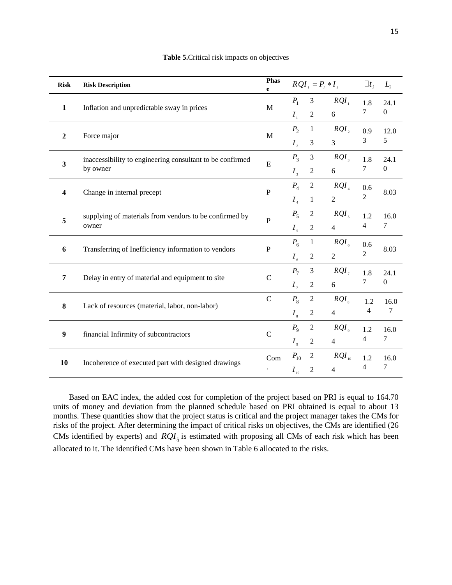| <b>Risk</b>             | <b>Risk Description</b>                                   | Phas<br>e      |                             |                  | $RQI_i = P_i * I_i$ $\Box t_i$ |                          | $L_i$          |
|-------------------------|-----------------------------------------------------------|----------------|-----------------------------|------------------|--------------------------------|--------------------------|----------------|
| $\mathbf{1}$            | Inflation and unpredictable sway in prices                | M              | $P_1$                       | 3                | $RQI_{\perp}$                  | 1.8                      | 24.1           |
|                         |                                                           |                | $I_{\scriptscriptstyle 1}$  | $\overline{2}$   | 6                              | 7                        | $\overline{0}$ |
| $\overline{2}$          | Force major                                               | M              | $P_2$                       | $\mathbf{1}$     | $RQI$ ,                        | 0.9                      | 12.0           |
|                         |                                                           |                | $I_{2}$                     | 3                | $\mathfrak{Z}$                 | 3                        | 5              |
|                         | inaccessibility to engineering consultant to be confirmed | E              | $P_3$                       | $\mathfrak{Z}$   | $RQI_{\rm a}$                  | 1.8                      | 24.1           |
| $\overline{\mathbf{3}}$ | by owner                                                  |                | $I_{\frac{3}{2}}$           | $\overline{2}$   | 6                              | 7                        | $\overline{0}$ |
|                         |                                                           |                | $P_4$                       | $\overline{c}$   | $RQI_{A}$                      | 0.6                      |                |
| $\overline{\mathbf{4}}$ | Change in internal precept                                | $\mathbf{P}$   | $I_{\scriptscriptstyle{4}}$ | $\mathbf{1}$     | $\overline{2}$                 | $\mathfrak{2}$           | 8.03           |
| 5                       | supplying of materials from vendors to be confirmed by    | $\overline{P}$ | $P_5$                       | $\overline{c}$   | $RQI_{5}$                      | 1.2                      | 16.0           |
|                         | owner                                                     |                | $I_{\rm s}$                 | $\overline{2}$   | $\overline{4}$                 | 4                        | $\tau$         |
|                         |                                                           | $\mathbf P$    | $P_6$                       | $\mathbf{1}$     | $RQI_{\epsilon}$               | 0.6                      |                |
| 6                       | Transferring of Inefficiency information to vendors       |                | $I_{\epsilon}$              | $\boldsymbol{2}$ | $\overline{2}$                 | $\mathfrak{2}$           | 8.03           |
|                         |                                                           |                | $P_7$                       | $\mathfrak{Z}$   | $RQI_{7}$                      | 1.8                      | 24.1           |
| $\overline{7}$          | Delay in entry of material and equipment to site          |                | $\mathsf{C}$<br>$I_{\tau}$  | $\sqrt{2}$       | 6                              | 7                        | $\mathbf{0}$   |
|                         |                                                           | $\mathsf{C}$   | $P_8$                       | $\mathbf{2}$     | $RQI_{\rm s}$                  | 1.2                      | 16.0           |
| 8                       | Lack of resources (material, labor, non-labor)            |                | $I_{\rm s}$                 | $\sqrt{2}$       | $\overline{4}$                 | 4                        | 7              |
| $\boldsymbol{9}$        |                                                           |                | $P_{9}$                     | $\overline{2}$   | $RQI_{\circ}$                  | 1.2                      | 16.0           |
|                         | financial Infirmity of subcontractors                     | $\mathsf{C}$   | $I_{\scriptscriptstyle{9}}$ | $\overline{c}$   | 4                              | $\overline{\mathcal{A}}$ | $\tau$         |
|                         |                                                           | Com            | $P_{10}$                    | $\overline{c}$   | $RQI_{10}$                     | 1.2                      | 16.0           |
| 10                      | Incoherence of executed part with designed drawings       |                | $I_{_{10}}$                 | $\overline{2}$   | $\overline{4}$                 | $\overline{4}$           | 7              |

#### **Table 5.**Critical risk impacts on objectives

Based on EAC index, the added cost for completion of the project based on PRI is equal to 164.70 units of money and deviation from the planned schedule based on PRI obtained is equal to about 13 months. These quantities show that the project status is critical and the project manager takes the CMs for risks of the project. After determining the impact of critical risks on objectives, the CMs are identified (26 CMs identified by experts) and  $RQI_{ij}$  is estimated with proposing all CMs of each risk which has been allocated to it. The identified CMs have been shown in Table 6 allocated to the risks.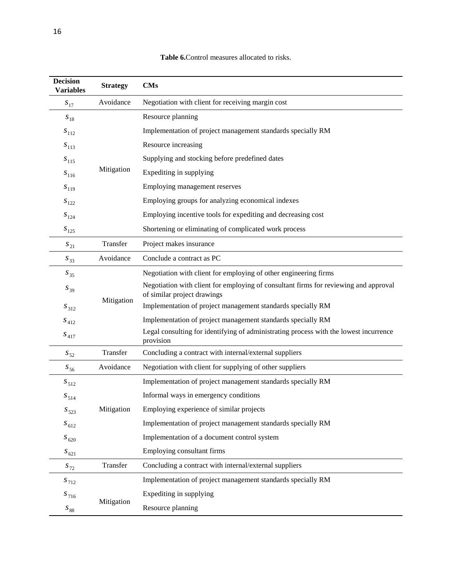| <b>Decision</b><br>Variables | <b>Strategy</b> | $\mathbf{CMs}$                                                                                                      |
|------------------------------|-----------------|---------------------------------------------------------------------------------------------------------------------|
| $S_{17}$                     | Avoidance       | Negotiation with client for receiving margin cost                                                                   |
| $S_{18}$                     |                 | Resource planning                                                                                                   |
| $S_{112}$                    |                 | Implementation of project management standards specially RM                                                         |
| $S_{113}$                    |                 | Resource increasing                                                                                                 |
| $S_{115}$                    |                 | Supplying and stocking before predefined dates                                                                      |
| $S_{116}$                    | Mitigation      | Expediting in supplying                                                                                             |
| $S_{119}$                    |                 | Employing management reserves                                                                                       |
| $S_{122}$                    |                 | Employing groups for analyzing economical indexes                                                                   |
| $S_{124}$                    |                 | Employing incentive tools for expediting and decreasing cost                                                        |
| $S_{125}$                    |                 | Shortening or eliminating of complicated work process                                                               |
| $\boldsymbol{S}_{21}$        | Transfer        | Project makes insurance                                                                                             |
| $S_{33}$                     | Avoidance       | Conclude a contract as PC                                                                                           |
| $S_{35}$                     |                 | Negotiation with client for employing of other engineering firms                                                    |
| $\boldsymbol{S}_{39}$        | Mitigation      | Negotiation with client for employing of consultant firms for reviewing and approval<br>of similar project drawings |
| $S_{312}$                    |                 | Implementation of project management standards specially RM                                                         |
| $S_{412}$                    |                 | Implementation of project management standards specially RM                                                         |
| $S_{\rm 417}$                |                 | Legal consulting for identifying of administrating process with the lowest incurrence<br>provision                  |
| $\boldsymbol{s}_{52}$        | Transfer        | Concluding a contract with internal/external suppliers                                                              |
| $S_{56}$                     | Avoidance       | Negotiation with client for supplying of other suppliers                                                            |
| $S_{512}$                    |                 | Implementation of project management standards specially RM                                                         |
| $S_{514}$                    |                 | Informal ways in emergency conditions                                                                               |
| $S_{523}$                    | Mitigation      | Employing experience of similar projects                                                                            |
| $S_{612}$                    |                 | Implementation of project management standards specially RM                                                         |
| $S_{620}$                    |                 | Implementation of a document control system                                                                         |
| $S_{621}$                    |                 | Employing consultant firms                                                                                          |
| $S_{72}$                     | Transfer        | Concluding a contract with internal/external suppliers                                                              |
| $S_{712}$                    |                 | Implementation of project management standards specially RM                                                         |
| $S_{716}$                    |                 | Expediting in supplying                                                                                             |

## **Table 6.**Control measures allocated to risks.

Mitigation

 $s_{\rm 88}$ 

Resource planning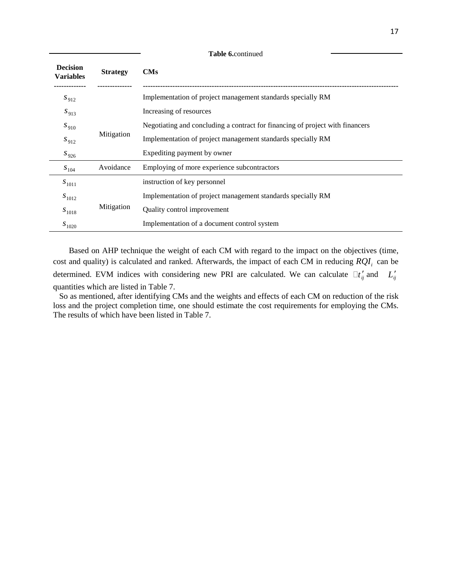| <b>Decision</b><br><b>Variables</b> | <b>Strategy</b> | CMs                                                                           |
|-------------------------------------|-----------------|-------------------------------------------------------------------------------|
| $S_{912}$                           |                 | Implementation of project management standards specially RM                   |
| $S_{913}$                           |                 | Increasing of resources                                                       |
| $S_{910}$                           |                 | Negotiating and concluding a contract for financing of project with financers |
| $S_{912}$                           | Mitigation      | Implementation of project management standards specially RM                   |
| $S_{926}$                           |                 | Expediting payment by owner                                                   |
| $S_{104}$                           | Avoidance       | Employing of more experience subcontractors                                   |
| $S_{1011}$                          |                 | instruction of key personnel                                                  |
| $S_{1012}$                          |                 | Implementation of project management standards specially RM                   |
| $S_{1018}$                          | Mitigation      | Quality control improvement                                                   |
| $S_{1020}$                          |                 | Implementation of a document control system                                   |
|                                     |                 |                                                                               |

**Table 6.**continued

Based on AHP technique the weight of each CM with regard to the impact on the objectives (time, cost and quality) is calculated and ranked. Afterwards, the impact of each CM in reducing  $RQI_i$  can be determined. EVM indices with considering new PRI are calculated. We can calculate  $\Box t'_{ij}$  and  $L'_{ij}$ quantities which are listed in Table 7.

 So as mentioned, after identifying CMs and the weights and effects of each CM on reduction of the risk loss and the project completion time, one should estimate the cost requirements for employing the CMs. The results of which have been listed in Table 7.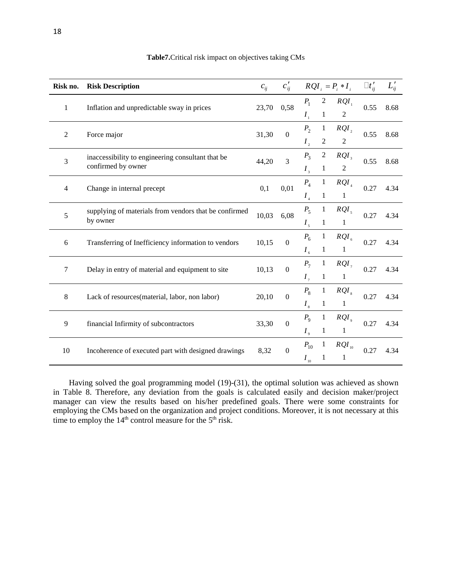| Risk no.                                     | $c'_{ii}$<br>$c_{ii}$<br><b>Risk Description</b>      |       |                  | $RQI_i = P_i * I_i$        |                | $\Box t_{ii}'$ | $L_{ij}'$    |      |
|----------------------------------------------|-------------------------------------------------------|-------|------------------|----------------------------|----------------|----------------|--------------|------|
| $\mathbf{1}$                                 | Inflation and unpredictable sway in prices            | 23,70 | 0,58             | $P_1$                      | $\overline{c}$ | $RQI_1$        | 0.55         | 8.68 |
|                                              |                                                       |       |                  | $I_{\scriptscriptstyle 1}$ | $\mathbf{1}$   | $\overline{c}$ |              |      |
| 2                                            | Force major                                           | 31,30 | $\mathbf{0}$     | $P_{2}$                    | $\mathbf{1}$   | $RQI_{2}$      | 0.55         | 8.68 |
|                                              |                                                       |       |                  | $I_{2}$                    | $\overline{2}$ | $\overline{2}$ |              |      |
| 3                                            | inaccessibility to engineering consultant that be     | 44,20 | 3                | $P_3$                      | $\overline{c}$ | $RQI_{3}$      | 0.55         | 8.68 |
|                                              | confirmed by owner                                    |       |                  | $I_{\rm{3}}$               | $\mathbf{1}$   | $\overline{c}$ |              |      |
| $\overline{4}$<br>Change in internal precept |                                                       | 0,1   | 0,01             | $P_4$                      | $\mathbf{1}$   | $RQI_{4}$      | 0.27         | 4.34 |
|                                              |                                                       |       |                  | I <sub>4</sub>             | $\mathbf{1}$   | $\mathbf{1}$   |              |      |
| 5                                            | supplying of materials from vendors that be confirmed | 10,03 | 6,08             | $P_5$                      | $\mathbf{1}$   | $RQI_{5}$      | 0.27         | 4.34 |
|                                              | by owner                                              |       |                  | $I_{\rm s}$                | $\mathbf{1}$   | $\mathbf{1}$   |              |      |
| 6                                            | Transferring of Inefficiency information to vendors   | 10,15 | $\boldsymbol{0}$ | $P_6$                      | $\mathbf{1}$   | $RQI_{6}$      | 0.27         | 4.34 |
|                                              |                                                       |       |                  | $I_{\epsilon}$             | $\mathbf{1}$   | $\mathbf{1}$   |              |      |
| $\tau$                                       | Delay in entry of material and equipment to site      | 10,13 | $\boldsymbol{0}$ | $P_7$                      | $\mathbf{1}$   | $RQI_{7}$      | 0.27         | 4.34 |
|                                              |                                                       |       |                  |                            | $I_{\tau}$     | $\mathbf{1}$   | $\mathbf{1}$ |      |
| 8                                            | Lack of resources(material, labor, non labor)         | 20,10 | $\boldsymbol{0}$ | $P_8$                      | 1              | $RQI_{\rm s}$  | 0.27         | 4.34 |
|                                              |                                                       |       |                  | $I_{\rm s}$                | $\mathbf{1}$   | $\mathbf{1}$   |              |      |
| 9                                            | financial Infirmity of subcontractors                 | 33,30 | $\boldsymbol{0}$ | $P_{\rm q}$                | $\mathbf{1}$   | $RQI_{\rm o}$  | 0.27         | 4.34 |
|                                              |                                                       |       |                  | $I_{\rm g}$                | $\mathbf{1}$   | 1              |              |      |
| 10                                           | Incoherence of executed part with designed drawings   | 8,32  | $\boldsymbol{0}$ | $P_{10}$                   | $\mathbf{1}$   | $RQI_{10}$     | 0.27         | 4.34 |
|                                              |                                                       |       |                  | $I_{10}$                   | $\mathbf{1}$   | 1              |              |      |

## **Table7.**Critical risk impact on objectives taking CMs

Having solved the goal programming model (19)-(31), the optimal solution was achieved as shown in Table 8. Therefore, any deviation from the goals is calculated easily and decision maker/project manager can view the results based on his/her predefined goals. There were some constraints for employing the CMs based on the organization and project conditions. Moreover, it is not necessary at this time to employ the  $14<sup>th</sup>$  control measure for the  $5<sup>th</sup>$  risk.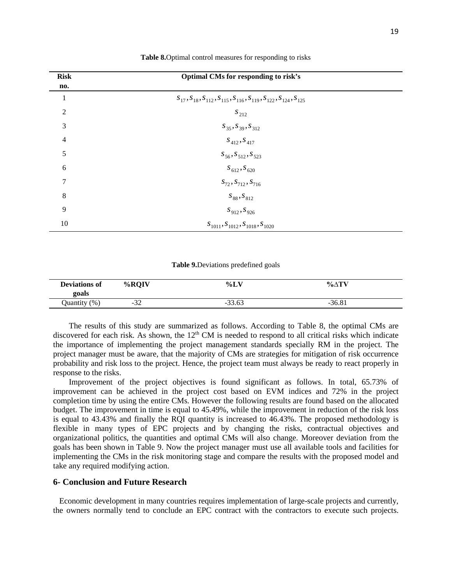| <b>Risk</b>    | Optimal CMs for responding to risk's                                            |  |
|----------------|---------------------------------------------------------------------------------|--|
| no.            |                                                                                 |  |
| 1              | $S_{17}, S_{18}, S_{112}, S_{115}, S_{116}, S_{119}, S_{122}, S_{124}, S_{125}$ |  |
| $\overline{2}$ | $S_{212}$                                                                       |  |
| 3              | $S_{35}$ , $S_{39}$ , $S_{312}$                                                 |  |
| $\overline{4}$ | $S_{412}, S_{417}$                                                              |  |
| 5              | $S_{56}, S_{512}, S_{523}$                                                      |  |
| 6              | $S_{612}$ , $S_{620}$                                                           |  |
| 7              | $S_{72}$ , $S_{712}$ , $S_{716}$                                                |  |
| 8              | $S_{88}, S_{812}$                                                               |  |
| 9              | $S_{912}$ , $S_{926}$                                                           |  |
| 10             | $S_{1011}, S_{1012}, S_{1018}, S_{1020}$                                        |  |

#### **Table 8.**Optimal control measures for responding to risks

#### **Table 9.**Deviations predefined goals

| <b>Deviations of</b><br>goals | %ROIV      | $\%L_{\lambda}$ | % $\Delta T$ |  |
|-------------------------------|------------|-----------------|--------------|--|
| Ouantity (%)                  | 27<br>ے د- | $-33.63$        | $-36.81$     |  |

The results of this study are summarized as follows. According to Table 8, the optimal CMs are discovered for each risk. As shown, the  $12<sup>th</sup>$  CM is needed to respond to all critical risks which indicate the importance of implementing the project management standards specially RM in the project. The project manager must be aware, that the majority of CMs are strategies for mitigation of risk occurrence probability and risk loss to the project. Hence, the project team must always be ready to react properly in response to the risks.

Improvement of the project objectives is found significant as follows. In total, 65.73% of improvement can be achieved in the project cost based on EVM indices and 72% in the project completion time by using the entire CMs. However the following results are found based on the allocated budget. The improvement in time is equal to 45.49%, while the improvement in reduction of the risk loss is equal to 43.43% and finally the RQI quantity is increased to 46.43%. The proposed methodology is flexible in many types of EPC projects and by changing the risks, contractual objectives and organizational politics, the quantities and optimal CMs will also change. Moreover deviation from the goals has been shown in Table 9. Now the project manager must use all available tools and facilities for implementing the CMs in the risk monitoring stage and compare the results with the proposed model and take any required modifying action.

#### **6- Conclusion and Future Research**

 Economic development in many countries requires implementation of large-scale projects and currently, the owners normally tend to conclude an EPC contract with the contractors to execute such projects.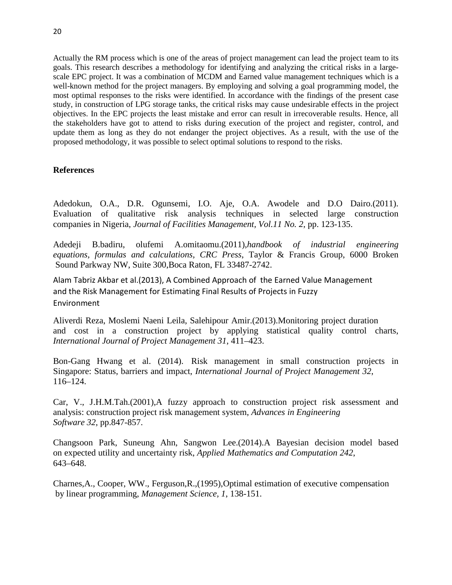Actually the RM process which is one of the areas of project management can lead the project team to its goals. This research describes a methodology for identifying and analyzing the critical risks in a largescale EPC project. It was a combination of MCDM and Earned value management techniques which is a well-known method for the project managers. By employing and solving a goal programming model, the most optimal responses to the risks were identified. In accordance with the findings of the present case study, in construction of LPG storage tanks, the critical risks may cause undesirable effects in the project objectives. In the EPC projects the least mistake and error can result in irrecoverable results. Hence, all the stakeholders have got to attend to risks during execution of the project and register, control, and update them as long as they do not endanger the project objectives. As a result, with the use of the proposed methodology, it was possible to select optimal solutions to respond to the risks.

## **References**

Adedokun, O.A., D.R. Ogunsemi, I.O. Aje, O.A. Awodele and D.O Dairo.(2011). Evaluation of qualitative risk analysis techniques in selected large construction companies in Nigeria, *Journal of Facilities Management, Vol.11 No. 2*, pp. 123-135.

Adedeji B.badiru, olufemi A.omitaomu.(2011),*handbook of industrial engineering equations, formulas and calculations, CRC Press*, Taylor & Francis Group, 6000 Broken Sound Parkway NW, Suite 300,Boca Raton, FL 33487-2742.

Alam Tabriz Akbar et al.(2013), A Combined Approach of the Earned Value Management and the Risk Management for Estimating Final Results of Projects in Fuzzy Environment

Aliverdi Reza, Moslemi Naeni Leila, Salehipour Amir.(2013).Monitoring project duration and cost in a construction project by applying statistical quality control charts, *International Journal of Project Management 31*, 411–423.

Bon-Gang Hwang et al. (2014). Risk management in small construction projects in Singapore: Status, barriers and impact, *International Journal of Project Management 32*, 116–124.

Car, V., J.H.M.Tah.(2001),A fuzzy approach to construction project risk assessment and analysis: construction project risk management system, *Advances in Engineering Software 32*, pp.847-857.

Changsoon Park, Suneung Ahn, Sangwon Lee.(2014).A Bayesian decision model based on expected utility and uncertainty risk, *Applied Mathematics and Computation 242*, 643–648.

Charnes,A., Cooper, WW., Ferguson,R.,(1995),Optimal estimation of executive compensation by linear programming, *Management Science, 1*, 138-151.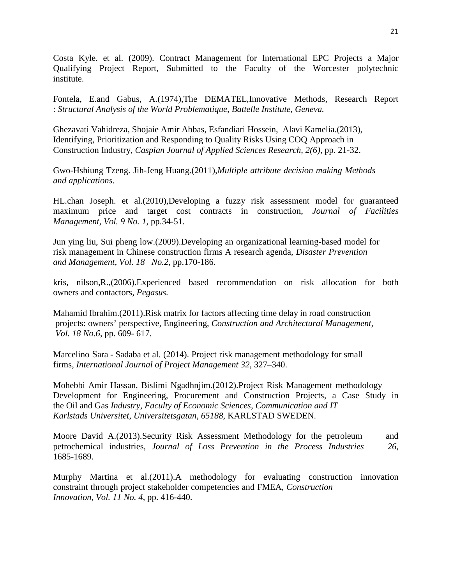Costa Kyle. et al. (2009). Contract Management for International EPC Projects a Major Qualifying Project Report, Submitted to the Faculty of the Worcester polytechnic institute.

Fontela, E.and Gabus, A.(1974),The DEMATEL,Innovative Methods, Research Report : *Structural Analysis of the World Problematique, Battelle Institute, Geneva.*

Ghezavati Vahidreza, Shojaie Amir Abbas, Esfandiari Hossein, Alavi Kamelia.(2013), Identifying, Prioritization and Responding to Quality Risks Using COQ Approach in Construction Industry, *Caspian Journal of Applied Sciences Research, 2(6)*, pp. 21-32.

Gwo-Hshiung Tzeng. Jih-Jeng Huang.(2011),*Multiple attribute decision making Methods and applications*.

HL.chan Joseph. et al.(2010),Developing a fuzzy risk assessment model for guaranteed maximum price and target cost contracts in construction, *Journal of Facilities Management, Vol. 9 No. 1*, pp.34-51.

Jun ying liu, Sui pheng low.(2009).Developing an organizational learning-based model for risk management in Chinese construction firms A research agenda, *Disaster Prevention and Management, Vol. 18 No.2*, pp.170-186.

kris, nilson,R.,(2006).Experienced based recommendation on risk allocation for both owners and contactors, *Pegasus.*

Mahamid Ibrahim.(2011).Risk matrix for factors affecting time delay in road construction projects: owners' perspective, Engineering, *Construction and Architectural Management, Vol. 18 No.6*, pp. 609- 617.

Marcelino Sara - Sadaba et al. (2014). Project risk management methodology for small firms, *International Journal of Project Management 32*, 327–340.

Mohebbi Amir Hassan, Bislimi Ngadhnjim.(2012).Project Risk Management methodology Development for Engineering, Procurement and Construction Projects, a Case Study in the Oil and Gas *Industry, Faculty of Economic Sciences, Communication and IT Karlstads Universitet, Universitetsgatan, 65188*, KARLSTAD SWEDEN.

Moore David A.(2013).Security Risk Assessment Methodology for the petroleum and petrochemical industries, *Journal of Loss Prevention in the Process Industries 26*, 1685-1689.

Murphy Martina et al.(2011).A methodology for evaluating construction innovation constraint through project stakeholder competencies and FMEA, *Construction Innovation*, *Vol. 11 No. 4*, pp. 416-440.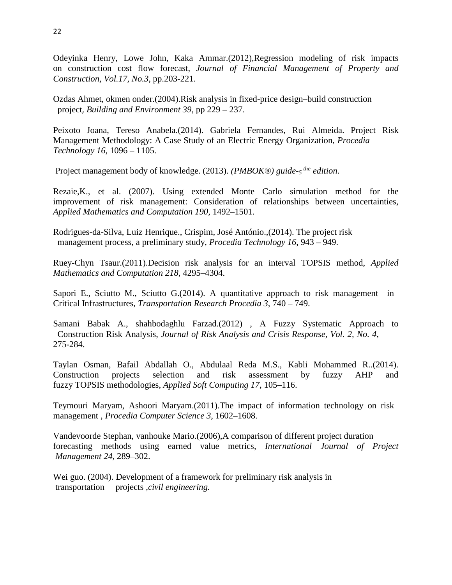Odeyinka Henry, Lowe John, Kaka Ammar.(2012),Regression modeling of risk impacts on construction cost flow forecast, *Journal of Financial Management of Property and Construction, Vol.17, No.3*, pp.203-221.

Ozdas Ahmet, okmen onder.(2004).Risk analysis in fixed-price design–build construction project, *Building and Environment 39*, pp 229 – 237.

Peixoto Joana, Tereso Anabela.(2014). Gabriela Fernandes, Rui Almeida. Project Risk Management Methodology: A Case Study of an Electric Energy Organization, *Procedia Technology 16*, 1096 – 1105.

Project management body of knowledge. (2013). *(PMBOK®) guide-5 the edition*.

Rezaie,K., et al. (2007). Using extended Monte Carlo simulation method for the improvement of risk management: Consideration of relationships between uncertainties*, Applied Mathematics and Computation 190*, 1492–1501.

Rodrigues-da-Silva, Luiz Henrique., Crispim, José António.,(2014). The project risk management process, a preliminary study, *Procedia Technology 16*, 943 – 949.

Ruey-Chyn Tsaur.(2011).Decision risk analysis for an interval TOPSIS method, *Applied Mathematics and Computation 218*, 4295–4304.

Sapori E., Sciutto M., Sciutto G.(2014). A quantitative approach to risk management in Critical Infrastructures, *Transportation Research Procedia 3*, 740 – 749.

Samani Babak A., shahbodaghlu Farzad.(2012) , A Fuzzy Systematic Approach to Construction Risk Analysis, *Journal of Risk Analysis and Crisis Response, Vol. 2, No. 4*, 275-284.

Taylan Osman, Bafail Abdallah O., Abdulaal Reda M.S., Kabli Mohammed R..(2014). Construction projects selection and risk assessment by fuzzy AHP and fuzzy TOPSIS methodologies, *Applied Soft Computing 17*, 105–116.

Teymouri Maryam, Ashoori Maryam.(2011).The impact of information technology on risk management , *Procedia Computer Science 3*, 1602–1608.

Vandevoorde Stephan, vanhouke Mario.(2006),A comparison of different project duration forecasting methods using earned value metrics, *International Journal of Project Management 24,* 289–302.

Wei guo. (2004). Development of a framework for preliminary risk analysis in transportation projects ,*civil engineering.*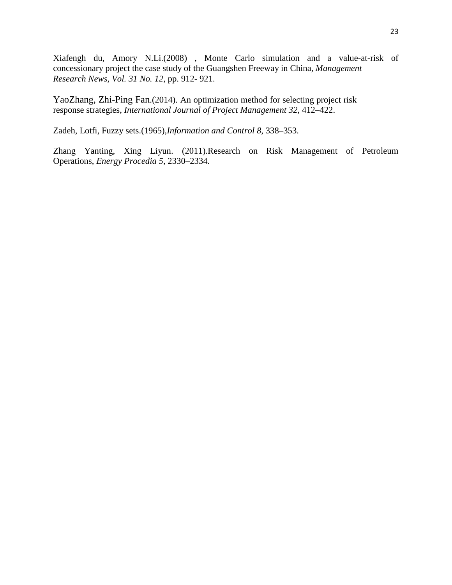Xiafengh du, Amory N.Li.(2008) , Monte Carlo simulation and a value-at-risk of concessionary project the case study of the Guangshen Freeway in China, *Management Research News, Vol. 31 No. 12*, pp. 912- 921.

YaoZhang, Zhi-Ping Fan.(2014). An optimization method for selecting project risk response strategies, *International Journal of Project Management 32*, 412–422.

Zadeh, Lotfi, Fuzzy sets.(1965),*Information and Control 8*, 338–353.

Zhang Yanting, Xing Liyun. (2011).Research on Risk Management of Petroleum Operations, *Energy Procedia 5*, 2330–2334.